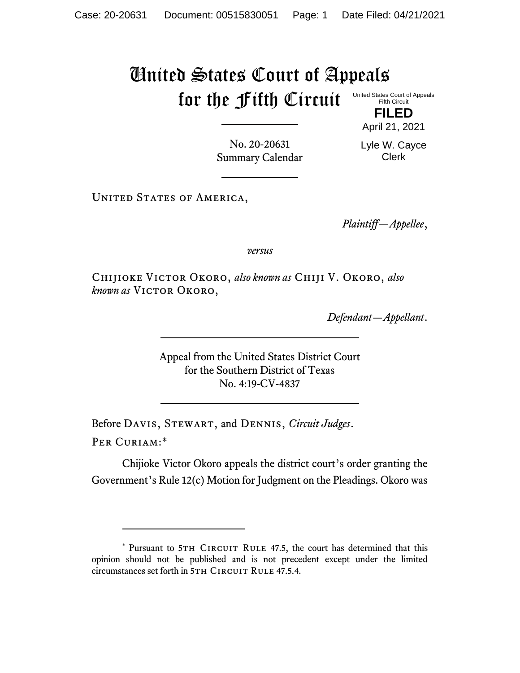# United States Court of Appeals for the Fifth Circuit United States Court of Appeals

Fifth Circuit **FILED**

April 21, 2021

No. 20-20631 Summary Calendar Lyle W. Cayce Clerk

UNITED STATES OF AMERICA,

*Plaintiff—Appellee*,

*versus*

Chijioke Victor Okoro, *also known as* Chiji V. Okoro, *also known as* Victor Okoro,

*Defendant—Appellant*.

Appeal from the United States District Court for the Southern District of Texas No. 4:19-CV-4837

Before Davis, Stewart, and Dennis, *Circuit Judges*.

Per Curiam:\*

Chijioke Victor Okoro appeals the district court's order granting the Government's Rule 12(c) Motion for Judgment on the Pleadings. Okoro was

<sup>\*</sup> Pursuant to 5TH CIRCUIT RULE 47.5, the court has determined that this opinion should not be published and is not precedent except under the limited circumstances set forth in 5TH CIRCUIT RULE 47.5.4.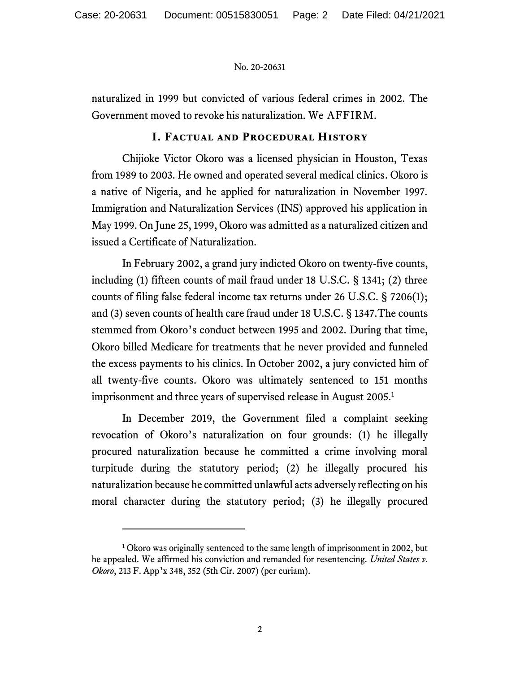naturalized in 1999 but convicted of various federal crimes in 2002. The Government moved to revoke his naturalization. We AFFIRM.

#### **I. Factual and Procedural History**

Chijioke Victor Okoro was a licensed physician in Houston, Texas from 1989 to 2003. He owned and operated several medical clinics. Okoro is a native of Nigeria, and he applied for naturalization in November 1997. Immigration and Naturalization Services (INS) approved his application in May 1999. On June 25, 1999, Okoro was admitted as a naturalized citizen and issued a Certificate of Naturalization.

In February 2002, a grand jury indicted Okoro on twenty-five counts, including (1) fifteen counts of mail fraud under 18 U.S.C. § 1341; (2) three counts of filing false federal income tax returns under 26 U.S.C. § 7206(1); and (3) seven counts of health care fraud under 18 U.S.C. § 1347.The counts stemmed from Okoro's conduct between 1995 and 2002. During that time, Okoro billed Medicare for treatments that he never provided and funneled the excess payments to his clinics. In October 2002, a jury convicted him of all twenty-five counts. Okoro was ultimately sentenced to 151 months imprisonment and three years of supervised release in August 2005.<sup>1</sup>

In December 2019, the Government filed a complaint seeking revocation of Okoro's naturalization on four grounds: (1) he illegally procured naturalization because he committed a crime involving moral turpitude during the statutory period; (2) he illegally procured his naturalization because he committed unlawful acts adversely reflecting on his moral character during the statutory period; (3) he illegally procured

<sup>&</sup>lt;sup>1</sup> Okoro was originally sentenced to the same length of imprisonment in 2002, but he appealed. We affirmed his conviction and remanded for resentencing. *United States v. Okoro*, 213 F. App'x 348, 352 (5th Cir. 2007) (per curiam).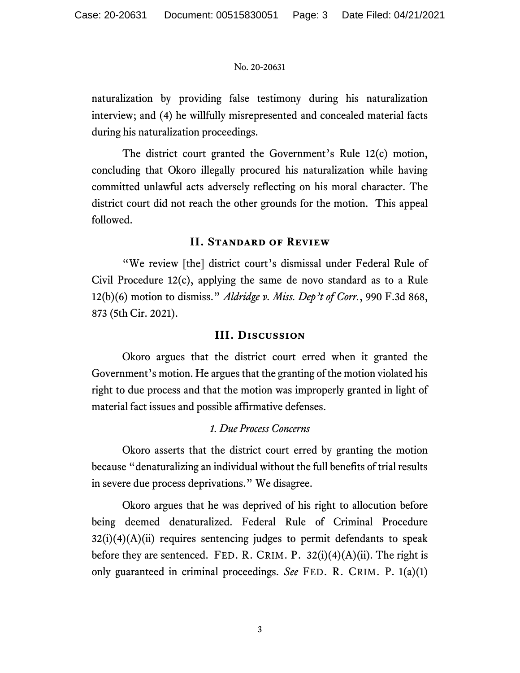naturalization by providing false testimony during his naturalization interview; and (4) he willfully misrepresented and concealed material facts during his naturalization proceedings.

The district court granted the Government's Rule 12(c) motion, concluding that Okoro illegally procured his naturalization while having committed unlawful acts adversely reflecting on his moral character. The district court did not reach the other grounds for the motion. This appeal followed.

## **II. Standard of Review**

"We review [the] district court's dismissal under Federal Rule of Civil Procedure 12(c), applying the same de novo standard as to a Rule 12(b)(6) motion to dismiss." *Aldridge v. Miss. Dep't of Corr.*, 990 F.3d 868, 873 (5th Cir. 2021).

### **III. Discussion**

Okoro argues that the district court erred when it granted the Government's motion. He argues that the granting of the motion violated his right to due process and that the motion was improperly granted in light of material fact issues and possible affirmative defenses.

## *1. Due Process Concerns*

Okoro asserts that the district court erred by granting the motion because "denaturalizing an individual without the full benefits of trial results in severe due process deprivations." We disagree.

Okoro argues that he was deprived of his right to allocution before being deemed denaturalized. Federal Rule of Criminal Procedure  $32(i)(4)(A)(ii)$  requires sentencing judges to permit defendants to speak before they are sentenced. FED. R. CRIM. P.  $32(i)(4)(A)(ii)$ . The right is only guaranteed in criminal proceedings. *See* FED. R. CRIM. P. 1(a)(1)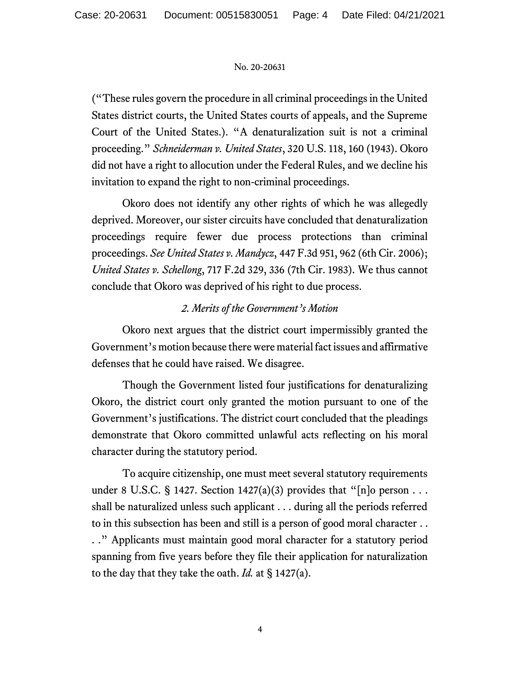("These rules govern the procedure in all criminal proceedings in the United States district courts, the United States courts of appeals, and the Supreme Court of the United States.). "A denaturalization suit is not a criminal proceeding." *Schneiderman v. United States*, 320 U.S. 118, 160 (1943). Okoro did not have a right to allocution under the Federal Rules, and we decline his invitation to expand the right to non-criminal proceedings.

Okoro does not identify any other rights of which he was allegedly deprived. Moreover, our sister circuits have concluded that denaturalization proceedings require fewer due process protections than criminal proceedings. *See United States v. Mandycz*, 447 F.3d 951, 962 (6th Cir. 2006); *United States v. Schellong*, 717 F.2d 329, 336 (7th Cir. 1983). We thus cannot conclude that Okoro was deprived of his right to due process.

# *2. Merits of the Government's Motion*

Okoro next argues that the district court impermissibly granted the Government's motion because there were material fact issues and affirmative defenses that he could have raised. We disagree.

Though the Government listed four justifications for denaturalizing Okoro, the district court only granted the motion pursuant to one of the Government's justifications. The district court concluded that the pleadings demonstrate that Okoro committed unlawful acts reflecting on his moral character during the statutory period.

To acquire citizenship, one must meet several statutory requirements under 8 U.S.C. § 1427. Section 1427(a)(3) provides that "[n]o person . . . shall be naturalized unless such applicant . . . during all the periods referred to in this subsection has been and still is a person of good moral character . . . ." Applicants must maintain good moral character for a statutory period spanning from five years before they file their application for naturalization to the day that they take the oath. *Id.* at § 1427(a).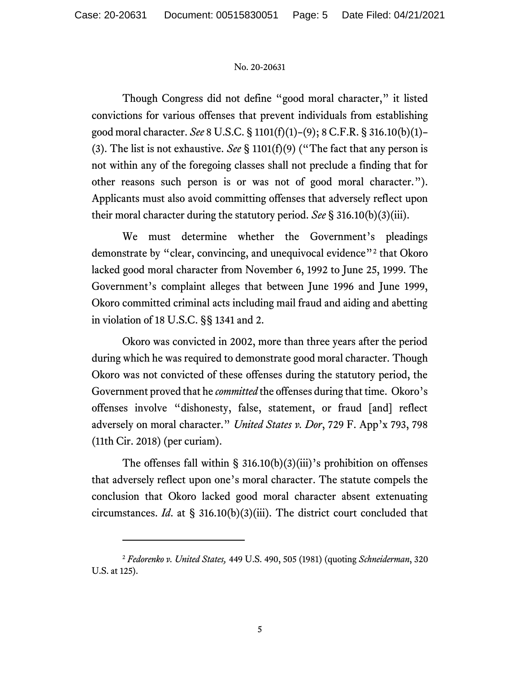Though Congress did not define "good moral character," it listed convictions for various offenses that prevent individuals from establishing good moral character. *See* 8 U.S.C. § 1101(f)(1)–(9); 8 C.F.R. § 316.10(b)(1)– (3). The list is not exhaustive. *See* § 1101(f)(9) ("The fact that any person is not within any of the foregoing classes shall not preclude a finding that for other reasons such person is or was not of good moral character."). Applicants must also avoid committing offenses that adversely reflect upon their moral character during the statutory period. *See* § 316.10(b)(3)(iii).

We must determine whether the Government's pleadings demonstrate by "clear, convincing, and unequivocal evidence"<sup>2</sup> that Okoro lacked good moral character from November 6, 1992 to June 25, 1999. The Government's complaint alleges that between June 1996 and June 1999, Okoro committed criminal acts including mail fraud and aiding and abetting in violation of 18 U.S.C. §§ 1341 and 2.

Okoro was convicted in 2002, more than three years after the period during which he was required to demonstrate good moral character. Though Okoro was not convicted of these offenses during the statutory period, the Government proved that he *committed* the offenses during that time. Okoro's offenses involve "dishonesty, false, statement, or fraud [and] reflect adversely on moral character." *United States v. Dor*, 729 F. App'x 793, 798 (11th Cir. 2018) (per curiam).

The offenses fall within § 316.10(b)(3)(iii)'s prohibition on offenses that adversely reflect upon one's moral character. The statute compels the conclusion that Okoro lacked good moral character absent extenuating circumstances. *Id*. at § 316.10(b)(3)(iii). The district court concluded that

<sup>2</sup> *Fedorenko v. United States,* 449 U.S. 490, 505 (1981) (quoting *Schneiderman*, 320 U.S. at 125).